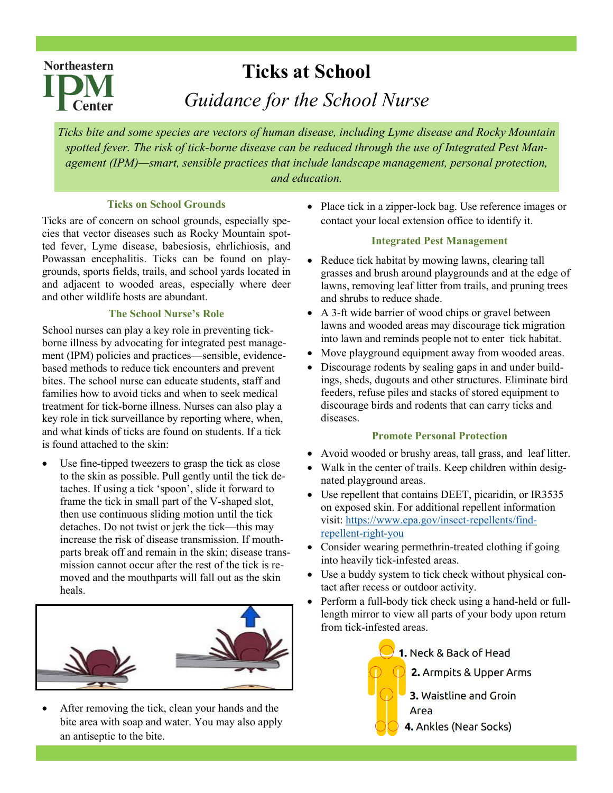# **Northeastern Center**

# **Ticks at School**

*Guidance for the School Nurse*

*Ticks bite and some species are vectors of human disease, including Lyme disease and Rocky Mountain spotted fever. The risk of tick-borne disease can be reduced through the use of Integrated Pest Management (IPM)—smart, sensible practices that include landscape management, personal protection, and education.* 

#### **Ticks on School Grounds**

Ticks are of concern on school grounds, especially species that vector diseases such as Rocky Mountain spotted fever, Lyme disease, babesiosis, ehrlichiosis, and Powassan encephalitis. Ticks can be found on playgrounds, sports fields, trails, and school yards located in and adjacent to wooded areas, especially where deer and other wildlife hosts are abundant.

### **The School Nurse's Role**

School nurses can play a key role in preventing tickborne illness by advocating for integrated pest management (IPM) policies and practices—sensible, evidencebased methods to reduce tick encounters and prevent bites. The school nurse can educate students, staff and families how to avoid ticks and when to seek medical treatment for tick-borne illness. Nurses can also play a key role in tick surveillance by reporting where, when, and what kinds of ticks are found on students. If a tick is found attached to the skin:

Use fine-tipped tweezers to grasp the tick as close to the skin as possible. Pull gently until the tick detaches. If using a tick 'spoon', slide it forward to frame the tick in small part of the V-shaped slot, then use continuous sliding motion until the tick detaches. Do not twist or jerk the tick—this may increase the risk of disease transmission. If mouthparts break off and remain in the skin; disease transmission cannot occur after the rest of the tick is removed and the mouthparts will fall out as the skin heals.



After removing the tick, clean your hands and the bite area with soap and water. You may also apply an antiseptic to the bite.

• Place tick in a zipper-lock bag. Use reference images or contact your local extension office to identify it.

#### **Integrated Pest Management**

- Reduce tick habitat by mowing lawns, clearing tall grasses and brush around playgrounds and at the edge of lawns, removing leaf litter from trails, and pruning trees and shrubs to reduce shade.
- A 3-ft wide barrier of wood chips or gravel between lawns and wooded areas may discourage tick migration into lawn and reminds people not to enter tick habitat.
- Move playground equipment away from wooded areas.
- Discourage rodents by sealing gaps in and under buildings, sheds, dugouts and other structures. Eliminate bird feeders, refuse piles and stacks of stored equipment to discourage birds and rodents that can carry ticks and diseases.

### **Promote Personal Protection**

- Avoid wooded or brushy areas, tall grass, and leaf litter.
- Walk in the center of trails. Keep children within designated playground areas.
- Use repellent that contains DEET, picaridin, or IR3535 on exposed skin. For additional repellent information visit: [https://www.epa.gov/insect](https://www.epa.gov/insect-repellents/find-repellent-right-you)-repellents/find[repellent](https://www.epa.gov/insect-repellents/find-repellent-right-you)-right-you
- Consider wearing permethrin-treated clothing if going into heavily tick-infested areas.
- Use a buddy system to tick check without physical contact after recess or outdoor activity.
- Perform a full-body tick check using a hand-held or fulllength mirror to view all parts of your body upon return from tick-infested areas.